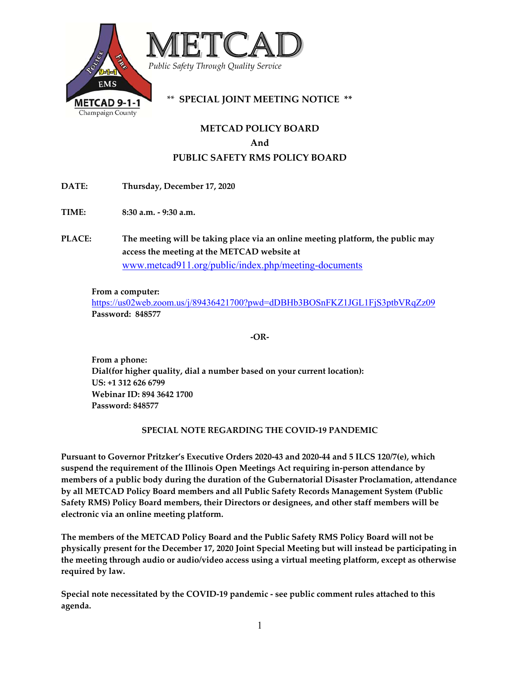

# **METCAD POLICY BOARD And PUBLIC SAFETY RMS POLICY BOARD**

**DATE: Thursday, December 17, 2020**

**TIME: 8:30 a.m. ‐ 9:30 a.m.** 

**PLACE: The meeting will be taking place via an online meeting platform, the public may access the meeting at the METCAD website at** www.metcad911.org/public/index.php/meeting-documents

#### **From a computer:**

https://us02web.zoom.us/j/89436421700?pwd=dDBHb3BOSnFKZ1JGL1FjS3ptbVRqZz09 **Password: 848577**

**‐OR‐** 

**From a phone: Dial(for higher quality, dial a number based on your current location): US: +1 312 626 6799 Webinar ID: 894 3642 1700 Password: 848577**

#### **SPECIAL NOTE REGARDING THE COVID‐19 PANDEMIC**

**Pursuant to Governor Pritzker's Executive Orders 2020‐43 and 2020‐44 and 5 ILCS 120/7(e), which suspend the requirement of the Illinois Open Meetings Act requiring in‐person attendance by members of a public body during the duration of the Gubernatorial Disaster Proclamation, attendance by all METCAD Policy Board members and all Public Safety Records Management System (Public Safety RMS) Policy Board members, their Directors or designees, and other staff members will be electronic via an online meeting platform.** 

**The members of the METCAD Policy Board and the Public Safety RMS Policy Board will not be physically present for the December 17, 2020 Joint Special Meeting but will instead be participating in the meeting through audio or audio/video access using a virtual meeting platform, except as otherwise required by law.**

**Special note necessitated by the COVID‐19 pandemic ‐ see public comment rules attached to this agenda.**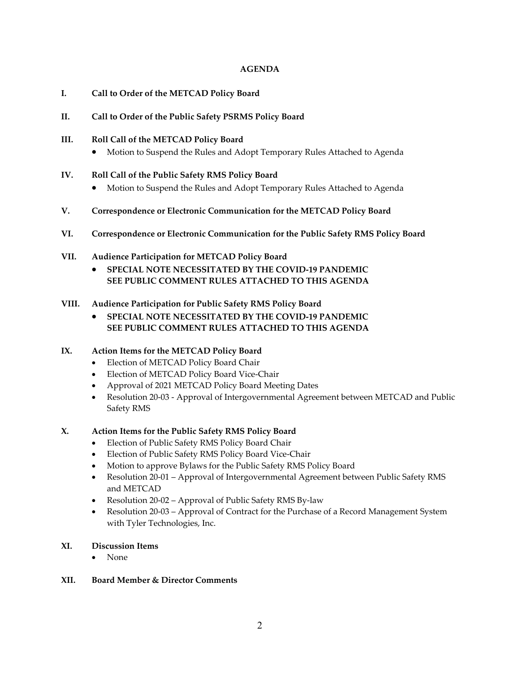#### **AGENDA**

- **I. Call to Order of the METCAD Policy Board**
- **II. Call to Order of the Public Safety PSRMS Policy Board**
- **III. Roll Call of the METCAD Policy Board**
	- Motion to Suspend the Rules and Adopt Temporary Rules Attached to Agenda
- **IV. Roll Call of the Public Safety RMS Policy Board**
	- Motion to Suspend the Rules and Adopt Temporary Rules Attached to Agenda
- **V. Correspondence or Electronic Communication for the METCAD Policy Board**
- **VI. Correspondence or Electronic Communication for the Public Safety RMS Policy Board**
- **VII. Audience Participation for METCAD Policy Board**
	- **SPECIAL NOTE NECESSITATED BY THE COVID‐19 PANDEMIC SEE PUBLIC COMMENT RULES ATTACHED TO THIS AGENDA**
- **VIII. Audience Participation for Public Safety RMS Policy Board**
	- **SPECIAL NOTE NECESSITATED BY THE COVID‐19 PANDEMIC SEE PUBLIC COMMENT RULES ATTACHED TO THIS AGENDA**

# **IX. Action Items for the METCAD Policy Board**

- Election of METCAD Policy Board Chair
- Election of METCAD Policy Board Vice-Chair
- Approval of 2021 METCAD Policy Board Meeting Dates
- Resolution 20-03 Approval of Intergovernmental Agreement between METCAD and Public Safety RMS

# **X. Action Items for the Public Safety RMS Policy Board**

- Election of Public Safety RMS Policy Board Chair
- Election of Public Safety RMS Policy Board Vice‐Chair
- Motion to approve Bylaws for the Public Safety RMS Policy Board
- Resolution 20‐01 Approval of Intergovernmental Agreement between Public Safety RMS and METCAD
- Resolution 20‐02 Approval of Public Safety RMS By‐law
- Resolution 20-03 Approval of Contract for the Purchase of a Record Management System with Tyler Technologies, Inc.

# **XI. Discussion Items**

- None
- **XII. Board Member & Director Comments**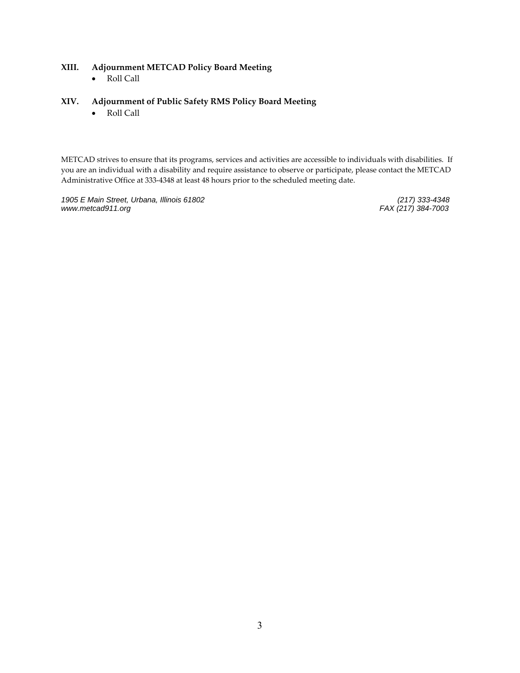#### **XIII. Adjournment METCAD Policy Board Meeting**

Roll Call

#### **XIV. Adjournment of Public Safety RMS Policy Board Meeting**

Roll Call

METCAD strives to ensure that its programs, services and activities are accessible to individuals with disabilities. If you are an individual with a disability and require assistance to observe or participate, please contact the METCAD Administrative Office at 333‐4348 at least 48 hours prior to the scheduled meeting date.

1905 E Main Street, Urbana, Illinois 61802 *www.metcad911.org FAX (217) 384-7003*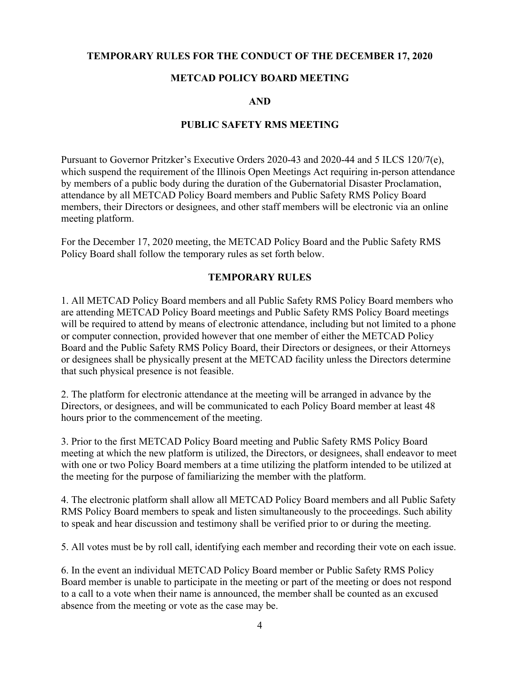### **TEMPORARY RULES FOR THE CONDUCT OF THE DECEMBER 17, 2020**

### **METCAD POLICY BOARD MEETING**

### **AND**

### **PUBLIC SAFETY RMS MEETING**

Pursuant to Governor Pritzker's Executive Orders 2020-43 and 2020-44 and 5 ILCS 120/7(e), which suspend the requirement of the Illinois Open Meetings Act requiring in-person attendance by members of a public body during the duration of the Gubernatorial Disaster Proclamation, attendance by all METCAD Policy Board members and Public Safety RMS Policy Board members, their Directors or designees, and other staff members will be electronic via an online meeting platform.

For the December 17, 2020 meeting, the METCAD Policy Board and the Public Safety RMS Policy Board shall follow the temporary rules as set forth below.

### **TEMPORARY RULES**

1. All METCAD Policy Board members and all Public Safety RMS Policy Board members who are attending METCAD Policy Board meetings and Public Safety RMS Policy Board meetings will be required to attend by means of electronic attendance, including but not limited to a phone or computer connection, provided however that one member of either the METCAD Policy Board and the Public Safety RMS Policy Board, their Directors or designees, or their Attorneys or designees shall be physically present at the METCAD facility unless the Directors determine that such physical presence is not feasible.

2. The platform for electronic attendance at the meeting will be arranged in advance by the Directors, or designees, and will be communicated to each Policy Board member at least 48 hours prior to the commencement of the meeting.

3. Prior to the first METCAD Policy Board meeting and Public Safety RMS Policy Board meeting at which the new platform is utilized, the Directors, or designees, shall endeavor to meet with one or two Policy Board members at a time utilizing the platform intended to be utilized at the meeting for the purpose of familiarizing the member with the platform.

4. The electronic platform shall allow all METCAD Policy Board members and all Public Safety RMS Policy Board members to speak and listen simultaneously to the proceedings. Such ability to speak and hear discussion and testimony shall be verified prior to or during the meeting.

5. All votes must be by roll call, identifying each member and recording their vote on each issue.

6. In the event an individual METCAD Policy Board member or Public Safety RMS Policy Board member is unable to participate in the meeting or part of the meeting or does not respond to a call to a vote when their name is announced, the member shall be counted as an excused absence from the meeting or vote as the case may be.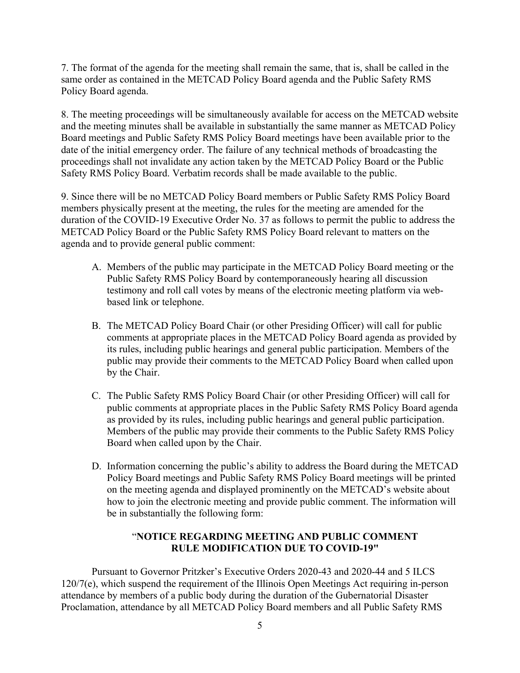7. The format of the agenda for the meeting shall remain the same, that is, shall be called in the same order as contained in the METCAD Policy Board agenda and the Public Safety RMS Policy Board agenda.

8. The meeting proceedings will be simultaneously available for access on the METCAD website and the meeting minutes shall be available in substantially the same manner as METCAD Policy Board meetings and Public Safety RMS Policy Board meetings have been available prior to the date of the initial emergency order. The failure of any technical methods of broadcasting the proceedings shall not invalidate any action taken by the METCAD Policy Board or the Public Safety RMS Policy Board. Verbatim records shall be made available to the public.

9. Since there will be no METCAD Policy Board members or Public Safety RMS Policy Board members physically present at the meeting, the rules for the meeting are amended for the duration of the COVID-19 Executive Order No. 37 as follows to permit the public to address the METCAD Policy Board or the Public Safety RMS Policy Board relevant to matters on the agenda and to provide general public comment:

- A. Members of the public may participate in the METCAD Policy Board meeting or the Public Safety RMS Policy Board by contemporaneously hearing all discussion testimony and roll call votes by means of the electronic meeting platform via webbased link or telephone.
- B. The METCAD Policy Board Chair (or other Presiding Officer) will call for public comments at appropriate places in the METCAD Policy Board agenda as provided by its rules, including public hearings and general public participation. Members of the public may provide their comments to the METCAD Policy Board when called upon by the Chair.
- C. The Public Safety RMS Policy Board Chair (or other Presiding Officer) will call for public comments at appropriate places in the Public Safety RMS Policy Board agenda as provided by its rules, including public hearings and general public participation. Members of the public may provide their comments to the Public Safety RMS Policy Board when called upon by the Chair.
- D. Information concerning the public's ability to address the Board during the METCAD Policy Board meetings and Public Safety RMS Policy Board meetings will be printed on the meeting agenda and displayed prominently on the METCAD's website about how to join the electronic meeting and provide public comment. The information will be in substantially the following form:

## "**NOTICE REGARDING MEETING AND PUBLIC COMMENT RULE MODIFICATION DUE TO COVID-19"**

Pursuant to Governor Pritzker's Executive Orders 2020-43 and 2020-44 and 5 ILCS 120/7(e), which suspend the requirement of the Illinois Open Meetings Act requiring in-person attendance by members of a public body during the duration of the Gubernatorial Disaster Proclamation, attendance by all METCAD Policy Board members and all Public Safety RMS